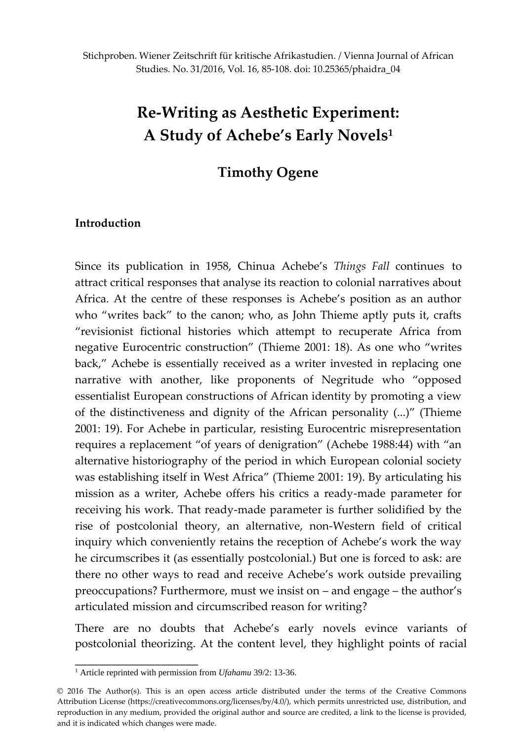# **Re-Writing as Aesthetic Experiment: A Study of Achebe's Early Novels<sup>1</sup>**

# **Timothy Ogene**

# **Introduction**

Since its publication in 1958, Chinua Achebe's *Things Fall* continues to attract critical responses that analyse its reaction to colonial narratives about Africa. At the centre of these responses is Achebe's position as an author who "writes back" to the canon; who, as John Thieme aptly puts it, crafts "revisionist fictional histories which attempt to recuperate Africa from negative Eurocentric construction" (Thieme 2001: 18). As one who "writes back," Achebe is essentially received as a writer invested in replacing one narrative with another, like proponents of Negritude who "opposed essentialist European constructions of African identity by promoting a view of the distinctiveness and dignity of the African personality (...)" (Thieme 2001: 19). For Achebe in particular, resisting Eurocentric misrepresentation requires a replacement "of years of denigration" (Achebe 1988:44) with "an alternative historiography of the period in which European colonial society was establishing itself in West Africa" (Thieme 2001: 19). By articulating his mission as a writer, Achebe offers his critics a ready-made parameter for receiving his work. That ready-made parameter is further solidified by the rise of postcolonial theory, an alternative, non-Western field of critical inquiry which conveniently retains the reception of Achebe's work the way he circumscribes it (as essentially postcolonial.) But one is forced to ask: are there no other ways to read and receive Achebe's work outside prevailing preoccupations? Furthermore, must we insist on – and engage – the author's articulated mission and circumscribed reason for writing?

There are no doubts that Achebe's early novels evince variants of postcolonial theorizing. At the content level, they highlight points of racial

\_\_\_\_\_\_\_\_\_\_\_\_\_\_\_\_\_\_\_\_

<sup>1</sup> Article reprinted with permission from *Ufahamu* 39/2: 13-36.

<sup>© 2016</sup> The Author(s). This is an open access article distributed under the terms of the Creative Commons Attribution License (https://creativecommons.org/licenses/by/4.0/), which permits unrestricted use, distribution, and reproduction in any medium, provided the original author and source are credited, a link to the license is provided, and it is indicated which changes were made.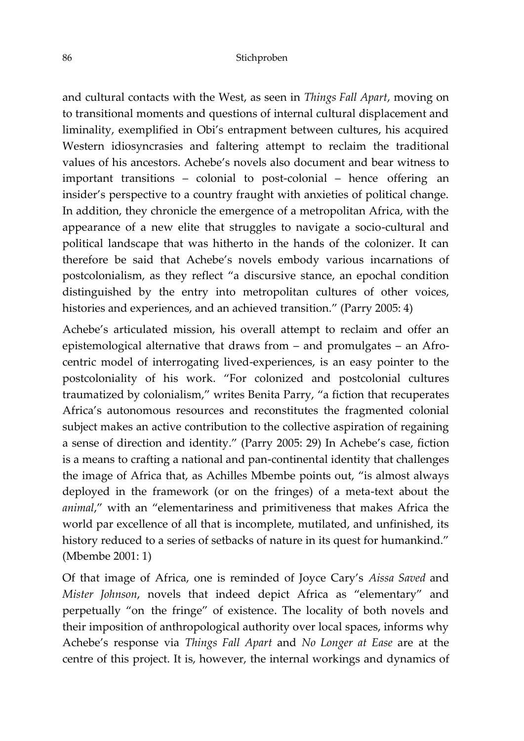and cultural contacts with the West, as seen in *Things Fall Apart*, moving on to transitional moments and questions of internal cultural displacement and liminality, exemplified in Obi's entrapment between cultures, his acquired Western idiosyncrasies and faltering attempt to reclaim the traditional values of his ancestors. Achebe's novels also document and bear witness to important transitions – colonial to post-colonial – hence offering an insider's perspective to a country fraught with anxieties of political change. In addition, they chronicle the emergence of a metropolitan Africa, with the appearance of a new elite that struggles to navigate a socio-cultural and political landscape that was hitherto in the hands of the colonizer. It can therefore be said that Achebe's novels embody various incarnations of postcolonialism, as they reflect "a discursive stance, an epochal condition distinguished by the entry into metropolitan cultures of other voices, histories and experiences, and an achieved transition." (Parry 2005: 4)

Achebe's articulated mission, his overall attempt to reclaim and offer an epistemological alternative that draws from – and promulgates – an Afrocentric model of interrogating lived-experiences, is an easy pointer to the postcoloniality of his work. "For colonized and postcolonial cultures traumatized by colonialism," writes Benita Parry, "a fiction that recuperates Africa's autonomous resources and reconstitutes the fragmented colonial subject makes an active contribution to the collective aspiration of regaining a sense of direction and identity." (Parry 2005: 29) In Achebe's case, fiction is a means to crafting a national and pan-continental identity that challenges the image of Africa that, as Achilles Mbembe points out, "is almost always deployed in the framework (or on the fringes) of a meta-text about the *animal*," with an "elementariness and primitiveness that makes Africa the world par excellence of all that is incomplete, mutilated, and unfinished, its history reduced to a series of setbacks of nature in its quest for humankind." (Mbembe 2001: 1)

Of that image of Africa, one is reminded of Joyce Cary's *Aissa Saved* and *Mister Johnson*, novels that indeed depict Africa as "elementary" and perpetually "on the fringe" of existence. The locality of both novels and their imposition of anthropological authority over local spaces, informs why Achebe's response via *Things Fall Apart* and *No Longer at Ease* are at the centre of this project. It is, however, the internal workings and dynamics of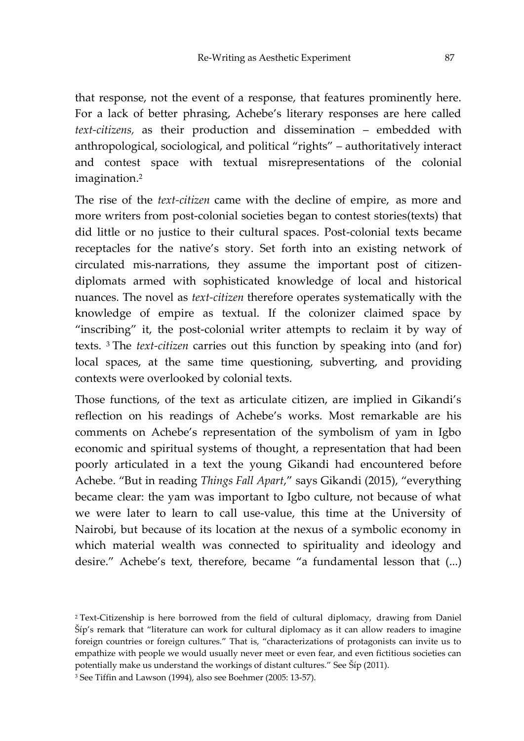that response, not the event of a response, that features prominently here. For a lack of better phrasing, Achebe's literary responses are here called *text-citizens,* as their production and dissemination – embedded with anthropological, sociological, and political "rights" – authoritatively interact and contest space with textual misrepresentations of the colonial imagination.<sup>2</sup>

The rise of the *text-citizen* came with the decline of empire, as more and more writers from post-colonial societies began to contest stories(texts) that did little or no justice to their cultural spaces. Post-colonial texts became receptacles for the native's story. Set forth into an existing network of circulated mis-narrations, they assume the important post of citizendiplomats armed with sophisticated knowledge of local and historical nuances. The novel as *text-citizen* therefore operates systematically with the knowledge of empire as textual. If the colonizer claimed space by "inscribing" it, the post-colonial writer attempts to reclaim it by way of texts. <sup>3</sup> The *text-citizen* carries out this function by speaking into (and for) local spaces, at the same time questioning, subverting, and providing contexts were overlooked by colonial texts.

Those functions, of the text as articulate citizen, are implied in Gikandi's reflection on his readings of Achebe's works. Most remarkable are his comments on Achebe's representation of the symbolism of yam in Igbo economic and spiritual systems of thought, a representation that had been poorly articulated in a text the young Gikandi had encountered before Achebe. "But in reading *Things Fall Apart*," says Gikandi (2015), "everything became clear: the yam was important to Igbo culture, not because of what we were later to learn to call use-value, this time at the University of Nairobi, but because of its location at the nexus of a symbolic economy in which material wealth was connected to spirituality and ideology and desire." Achebe's text, therefore, became "a fundamental lesson that (...)

<sup>2</sup> Text-Citizenship is here borrowed from the field of cultural diplomacy, drawing from Daniel Šíp's remark that "literature can work for cultural diplomacy as it can allow readers to imagine foreign countries or foreign cultures." That is, "characterizations of protagonists can invite us to empathize with people we would usually never meet or even fear, and even fictitious societies can potentially make us understand the workings of distant cultures." See Šíp (2011).

<sup>3</sup> See Tiffin and Lawson (1994), also see Boehmer (2005: 13-57).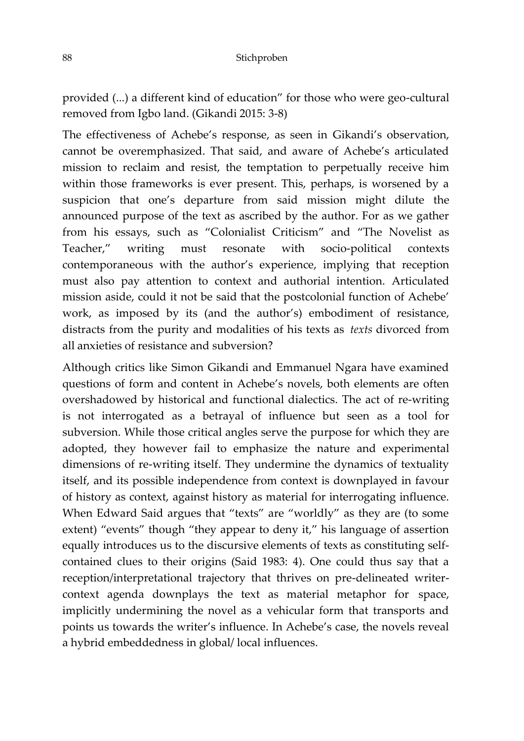provided (...) a different kind of education" for those who were geo-cultural removed from Igbo land. (Gikandi 2015: 3-8)

The effectiveness of Achebe's response, as seen in Gikandi's observation, cannot be overemphasized. That said, and aware of Achebe's articulated mission to reclaim and resist, the temptation to perpetually receive him within those frameworks is ever present. This, perhaps, is worsened by a suspicion that one's departure from said mission might dilute the announced purpose of the text as ascribed by the author. For as we gather from his essays, such as "Colonialist Criticism" and "The Novelist as Teacher," writing must resonate with socio-political contexts contemporaneous with the author's experience, implying that reception must also pay attention to context and authorial intention. Articulated mission aside, could it not be said that the postcolonial function of Achebe' work, as imposed by its (and the author's) embodiment of resistance, distracts from the purity and modalities of his texts as *texts* divorced from all anxieties of resistance and subversion?

Although critics like Simon Gikandi and Emmanuel Ngara have examined questions of form and content in Achebe's novels, both elements are often overshadowed by historical and functional dialectics. The act of re-writing is not interrogated as a betrayal of influence but seen as a tool for subversion. While those critical angles serve the purpose for which they are adopted, they however fail to emphasize the nature and experimental dimensions of re-writing itself. They undermine the dynamics of textuality itself, and its possible independence from context is downplayed in favour of history as context, against history as material for interrogating influence. When Edward Said argues that "texts" are "worldly" as they are (to some extent) "events" though "they appear to deny it," his language of assertion equally introduces us to the discursive elements of texts as constituting selfcontained clues to their origins (Said 1983: 4). One could thus say that a reception/interpretational trajectory that thrives on pre-delineated writercontext agenda downplays the text as material metaphor for space, implicitly undermining the novel as a vehicular form that transports and points us towards the writer's influence. In Achebe's case, the novels reveal a hybrid embeddedness in global/ local influences.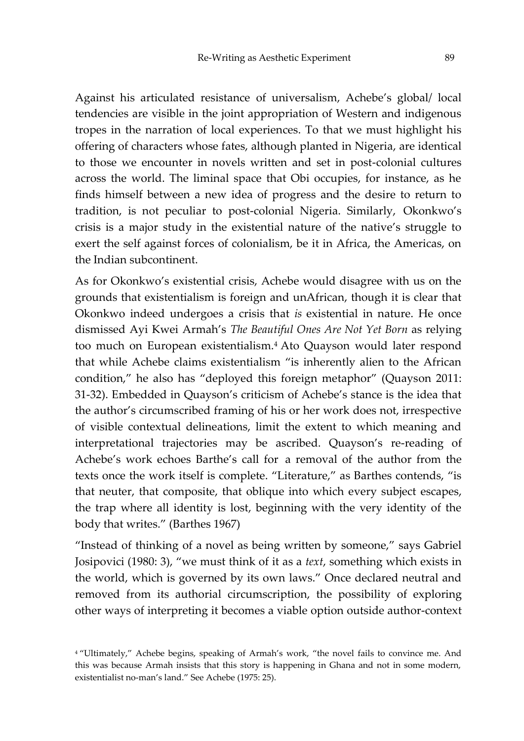Against his articulated resistance of universalism, Achebe's global/ local tendencies are visible in the joint appropriation of Western and indigenous tropes in the narration of local experiences. To that we must highlight his offering of characters whose fates, although planted in Nigeria, are identical to those we encounter in novels written and set in post-colonial cultures across the world. The liminal space that Obi occupies, for instance, as he finds himself between a new idea of progress and the desire to return to tradition, is not peculiar to post-colonial Nigeria. Similarly, Okonkwo's crisis is a major study in the existential nature of the native's struggle to exert the self against forces of colonialism, be it in Africa, the Americas, on the Indian subcontinent.

As for Okonkwo's existential crisis, Achebe would disagree with us on the grounds that existentialism is foreign and unAfrican, though it is clear that Okonkwo indeed undergoes a crisis that *is* existential in nature. He once dismissed Ayi Kwei Armah's *The Beautiful Ones Are Not Yet Born* as relying too much on European existentialism.<sup>4</sup> Ato Quayson would later respond that while Achebe claims existentialism "is inherently alien to the African condition," he also has "deployed this foreign metaphor" (Quayson 2011: 31-32). Embedded in Quayson's criticism of Achebe's stance is the idea that the author's circumscribed framing of his or her work does not, irrespective of visible contextual delineations, limit the extent to which meaning and interpretational trajectories may be ascribed. Quayson's re-reading of Achebe's work echoes Barthe's call for a removal of the author from the texts once the work itself is complete. "Literature," as Barthes contends, "is that neuter, that composite, that oblique into which every subject escapes, the trap where all identity is lost, beginning with the very identity of the body that writes." (Barthes 1967)

"Instead of thinking of a novel as being written by someone," says Gabriel Josipovici (1980: 3), "we must think of it as a *text*, something which exists in the world, which is governed by its own laws." Once declared neutral and removed from its authorial circumscription, the possibility of exploring other ways of interpreting it becomes a viable option outside author-context

<sup>&</sup>lt;sup>4</sup> "Ultimately," Achebe begins, speaking of Armah's work, "the novel fails to convince me. And this was because Armah insists that this story is happening in Ghana and not in some modern, existentialist no-man's land." See Achebe (1975: 25).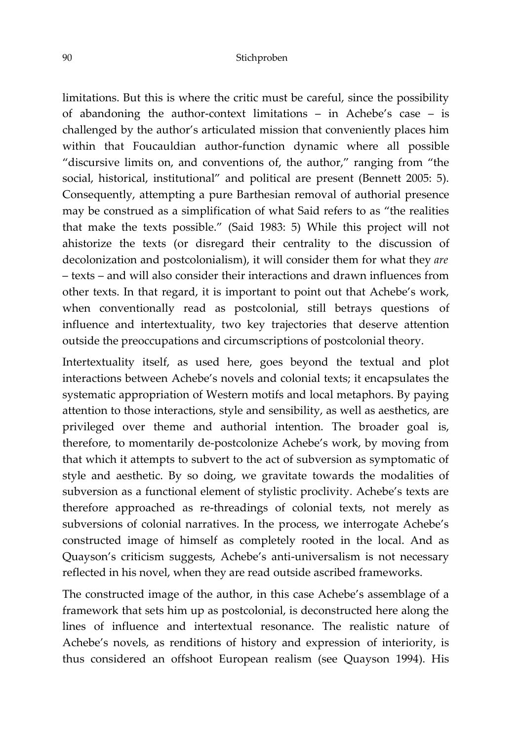#### 90 Stichproben

limitations. But this is where the critic must be careful, since the possibility of abandoning the author-context limitations – in Achebe's case – is challenged by the author's articulated mission that conveniently places him within that Foucauldian author-function dynamic where all possible "discursive limits on, and conventions of, the author," ranging from "the social, historical, institutional" and political are present (Bennett 2005: 5). Consequently, attempting a pure Barthesian removal of authorial presence may be construed as a simplification of what Said refers to as "the realities that make the texts possible." (Said 1983: 5) While this project will not ahistorize the texts (or disregard their centrality to the discussion of decolonization and postcolonialism), it will consider them for what they *are* – texts – and will also consider their interactions and drawn influences from other texts. In that regard, it is important to point out that Achebe's work, when conventionally read as postcolonial, still betrays questions of influence and intertextuality, two key trajectories that deserve attention outside the preoccupations and circumscriptions of postcolonial theory.

Intertextuality itself, as used here, goes beyond the textual and plot interactions between Achebe's novels and colonial texts; it encapsulates the systematic appropriation of Western motifs and local metaphors. By paying attention to those interactions, style and sensibility, as well as aesthetics, are privileged over theme and authorial intention. The broader goal is, therefore, to momentarily de-postcolonize Achebe's work, by moving from that which it attempts to subvert to the act of subversion as symptomatic of style and aesthetic. By so doing, we gravitate towards the modalities of subversion as a functional element of stylistic proclivity. Achebe's texts are therefore approached as re-threadings of colonial texts, not merely as subversions of colonial narratives. In the process, we interrogate Achebe's constructed image of himself as completely rooted in the local. And as Quayson's criticism suggests, Achebe's anti-universalism is not necessary reflected in his novel, when they are read outside ascribed frameworks.

The constructed image of the author, in this case Achebe's assemblage of a framework that sets him up as postcolonial, is deconstructed here along the lines of influence and intertextual resonance. The realistic nature of Achebe's novels, as renditions of history and expression of interiority, is thus considered an offshoot European realism (see Quayson 1994). His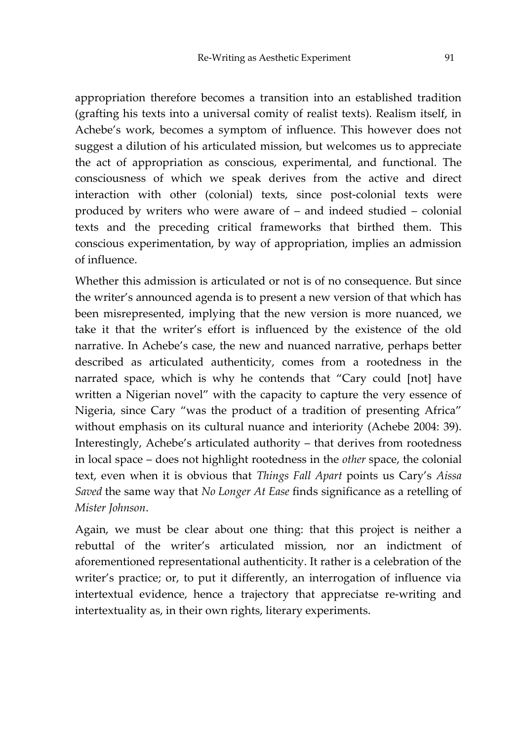appropriation therefore becomes a transition into an established tradition (grafting his texts into a universal comity of realist texts). Realism itself, in Achebe's work, becomes a symptom of influence. This however does not suggest a dilution of his articulated mission, but welcomes us to appreciate the act of appropriation as conscious, experimental, and functional. The consciousness of which we speak derives from the active and direct interaction with other (colonial) texts, since post-colonial texts were produced by writers who were aware of – and indeed studied – colonial texts and the preceding critical frameworks that birthed them. This conscious experimentation, by way of appropriation, implies an admission of influence.

Whether this admission is articulated or not is of no consequence. But since the writer's announced agenda is to present a new version of that which has been misrepresented, implying that the new version is more nuanced, we take it that the writer's effort is influenced by the existence of the old narrative. In Achebe's case, the new and nuanced narrative, perhaps better described as articulated authenticity, comes from a rootedness in the narrated space, which is why he contends that "Cary could [not] have written a Nigerian novel" with the capacity to capture the very essence of Nigeria, since Cary "was the product of a tradition of presenting Africa" without emphasis on its cultural nuance and interiority (Achebe 2004: 39). Interestingly, Achebe's articulated authority – that derives from rootedness in local space – does not highlight rootedness in the *other* space, the colonial text, even when it is obvious that *Things Fall Apart* points us Cary's *Aissa Saved* the same way that *No Longer At Ease* finds significance as a retelling of *Mister Johnson*.

Again, we must be clear about one thing: that this project is neither a rebuttal of the writer's articulated mission, nor an indictment of aforementioned representational authenticity. It rather is a celebration of the writer's practice; or, to put it differently, an interrogation of influence via intertextual evidence, hence a trajectory that appreciatse re-writing and intertextuality as, in their own rights, literary experiments.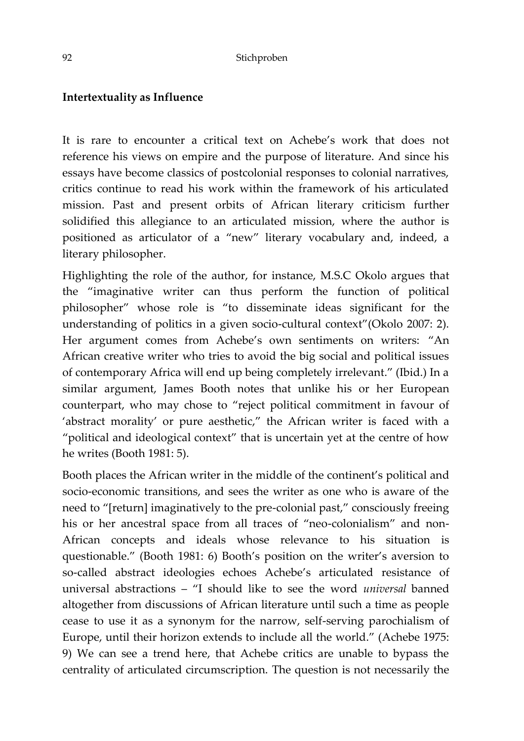## **Intertextuality as Influence**

It is rare to encounter a critical text on Achebe's work that does not reference his views on empire and the purpose of literature. And since his essays have become classics of postcolonial responses to colonial narratives, critics continue to read his work within the framework of his articulated mission. Past and present orbits of African literary criticism further solidified this allegiance to an articulated mission, where the author is positioned as articulator of a "new" literary vocabulary and, indeed, a literary philosopher.

Highlighting the role of the author, for instance, M.S.C Okolo argues that the "imaginative writer can thus perform the function of political philosopher" whose role is "to disseminate ideas significant for the understanding of politics in a given socio-cultural context"(Okolo 2007: 2). Her argument comes from Achebe's own sentiments on writers: "An African creative writer who tries to avoid the big social and political issues of contemporary Africa will end up being completely irrelevant." (Ibid.) In a similar argument, James Booth notes that unlike his or her European counterpart, who may chose to "reject political commitment in favour of 'abstract morality' or pure aesthetic," the African writer is faced with a "political and ideological context" that is uncertain yet at the centre of how he writes (Booth 1981: 5).

Booth places the African writer in the middle of the continent's political and socio-economic transitions, and sees the writer as one who is aware of the need to "[return] imaginatively to the pre-colonial past," consciously freeing his or her ancestral space from all traces of "neo-colonialism" and non-African concepts and ideals whose relevance to his situation is questionable." (Booth 1981: 6) Booth's position on the writer's aversion to so-called abstract ideologies echoes Achebe's articulated resistance of universal abstractions – "I should like to see the word *universal* banned altogether from discussions of African literature until such a time as people cease to use it as a synonym for the narrow, self-serving parochialism of Europe, until their horizon extends to include all the world." (Achebe 1975: 9) We can see a trend here, that Achebe critics are unable to bypass the centrality of articulated circumscription. The question is not necessarily the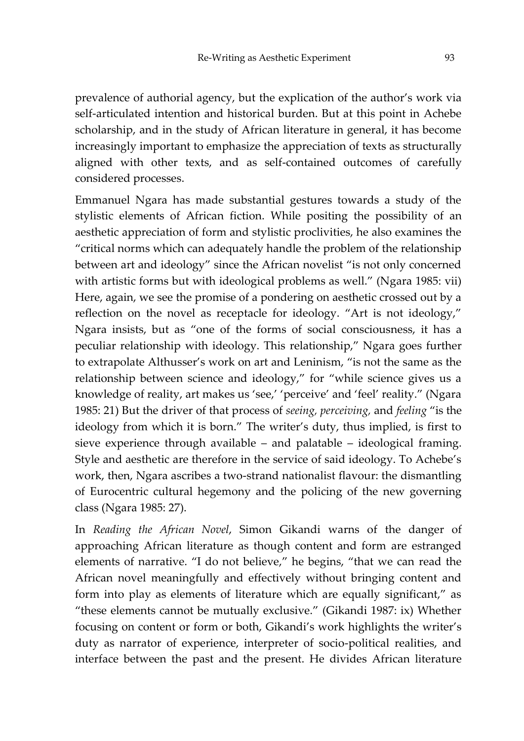prevalence of authorial agency, but the explication of the author's work via self-articulated intention and historical burden. But at this point in Achebe scholarship, and in the study of African literature in general, it has become increasingly important to emphasize the appreciation of texts as structurally aligned with other texts, and as self-contained outcomes of carefully considered processes.

Emmanuel Ngara has made substantial gestures towards a study of the stylistic elements of African fiction. While positing the possibility of an aesthetic appreciation of form and stylistic proclivities, he also examines the "critical norms which can adequately handle the problem of the relationship between art and ideology" since the African novelist "is not only concerned with artistic forms but with ideological problems as well." (Ngara 1985: vii) Here, again, we see the promise of a pondering on aesthetic crossed out by a reflection on the novel as receptacle for ideology. "Art is not ideology," Ngara insists, but as "one of the forms of social consciousness, it has a peculiar relationship with ideology. This relationship," Ngara goes further to extrapolate Althusser's work on art and Leninism, "is not the same as the relationship between science and ideology," for "while science gives us a knowledge of reality, art makes us 'see,' 'perceive' and 'feel' reality." (Ngara 1985: 21) But the driver of that process of *seeing, perceiving,* and *feeling* "is the ideology from which it is born." The writer's duty, thus implied, is first to sieve experience through available – and palatable – ideological framing. Style and aesthetic are therefore in the service of said ideology. To Achebe's work, then, Ngara ascribes a two-strand nationalist flavour: the dismantling of Eurocentric cultural hegemony and the policing of the new governing class (Ngara 1985: 27).

In *Reading the African Novel*, Simon Gikandi warns of the danger of approaching African literature as though content and form are estranged elements of narrative. "I do not believe," he begins, "that we can read the African novel meaningfully and effectively without bringing content and form into play as elements of literature which are equally significant," as "these elements cannot be mutually exclusive." (Gikandi 1987: ix) Whether focusing on content or form or both, Gikandi's work highlights the writer's duty as narrator of experience, interpreter of socio-political realities, and interface between the past and the present. He divides African literature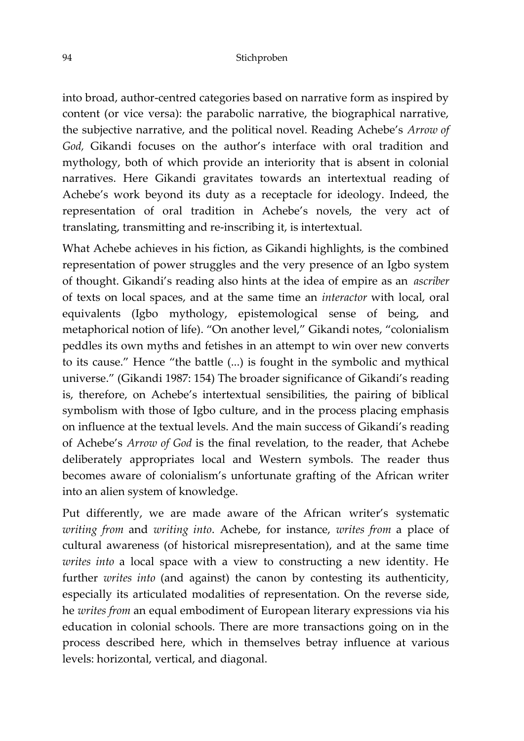into broad, author-centred categories based on narrative form as inspired by content (or vice versa): the parabolic narrative, the biographical narrative, the subjective narrative, and the political novel. Reading Achebe's *Arrow of God,* Gikandi focuses on the author's interface with oral tradition and mythology, both of which provide an interiority that is absent in colonial narratives. Here Gikandi gravitates towards an intertextual reading of Achebe's work beyond its duty as a receptacle for ideology. Indeed, the representation of oral tradition in Achebe's novels, the very act of translating, transmitting and re-inscribing it, is intertextual.

What Achebe achieves in his fiction, as Gikandi highlights, is the combined representation of power struggles and the very presence of an Igbo system of thought. Gikandi's reading also hints at the idea of empire as an *ascriber* of texts on local spaces, and at the same time an *interactor* with local, oral equivalents (Igbo mythology, epistemological sense of being, and metaphorical notion of life). "On another level," Gikandi notes, "colonialism peddles its own myths and fetishes in an attempt to win over new converts to its cause." Hence "the battle (...) is fought in the symbolic and mythical universe." (Gikandi 1987: 154) The broader significance of Gikandi's reading is, therefore, on Achebe's intertextual sensibilities, the pairing of biblical symbolism with those of Igbo culture, and in the process placing emphasis on influence at the textual levels. And the main success of Gikandi's reading of Achebe's *Arrow of God* is the final revelation, to the reader, that Achebe deliberately appropriates local and Western symbols. The reader thus becomes aware of colonialism's unfortunate grafting of the African writer into an alien system of knowledge.

Put differently, we are made aware of the African writer's systematic *writing from* and *writing into*. Achebe, for instance, *writes from* a place of cultural awareness (of historical misrepresentation), and at the same time *writes into* a local space with a view to constructing a new identity. He further *writes into* (and against) the canon by contesting its authenticity, especially its articulated modalities of representation. On the reverse side, he *writes from* an equal embodiment of European literary expressions via his education in colonial schools. There are more transactions going on in the process described here, which in themselves betray influence at various levels: horizontal, vertical, and diagonal.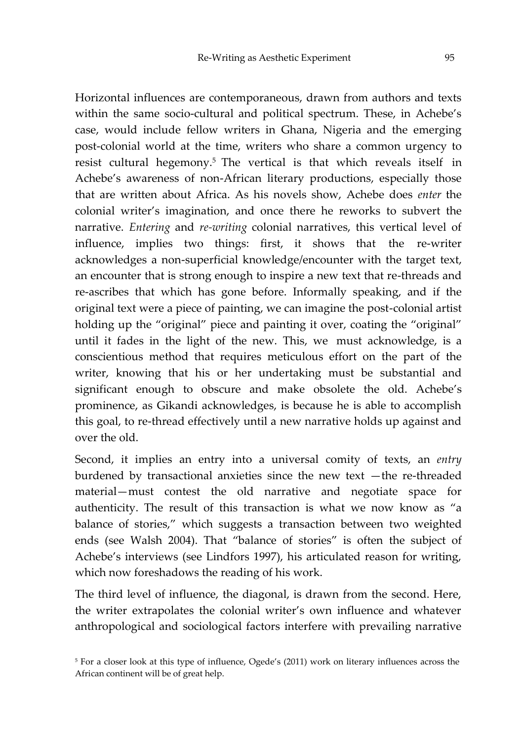Horizontal influences are contemporaneous, drawn from authors and texts within the same socio-cultural and political spectrum. These, in Achebe's case, would include fellow writers in Ghana, Nigeria and the emerging post-colonial world at the time, writers who share a common urgency to resist cultural hegemony.<sup>5</sup> The vertical is that which reveals itself in Achebe's awareness of non-African literary productions, especially those that are written about Africa. As his novels show, Achebe does *enter* the colonial writer's imagination, and once there he reworks to subvert the narrative. *Entering* and *re-writing* colonial narratives, this vertical level of influence, implies two things: first, it shows that the re-writer acknowledges a non-superficial knowledge/encounter with the target text, an encounter that is strong enough to inspire a new text that re-threads and re-ascribes that which has gone before. Informally speaking, and if the original text were a piece of painting, we can imagine the post-colonial artist holding up the "original" piece and painting it over, coating the "original" until it fades in the light of the new. This, we must acknowledge, is a conscientious method that requires meticulous effort on the part of the writer, knowing that his or her undertaking must be substantial and significant enough to obscure and make obsolete the old. Achebe's prominence, as Gikandi acknowledges, is because he is able to accomplish this goal, to re-thread effectively until a new narrative holds up against and over the old.

Second, it implies an entry into a universal comity of texts, an *entry* burdened by transactional anxieties since the new text —the re-threaded material—must contest the old narrative and negotiate space for authenticity. The result of this transaction is what we now know as "a balance of stories," which suggests a transaction between two weighted ends (see Walsh 2004). That "balance of stories" is often the subject of Achebe's interviews (see Lindfors 1997), his articulated reason for writing, which now foreshadows the reading of his work.

The third level of influence, the diagonal, is drawn from the second. Here, the writer extrapolates the colonial writer's own influence and whatever anthropological and sociological factors interfere with prevailing narrative

<sup>5</sup> For a closer look at this type of influence, Ogede's (2011) work on literary influences across the African continent will be of great help.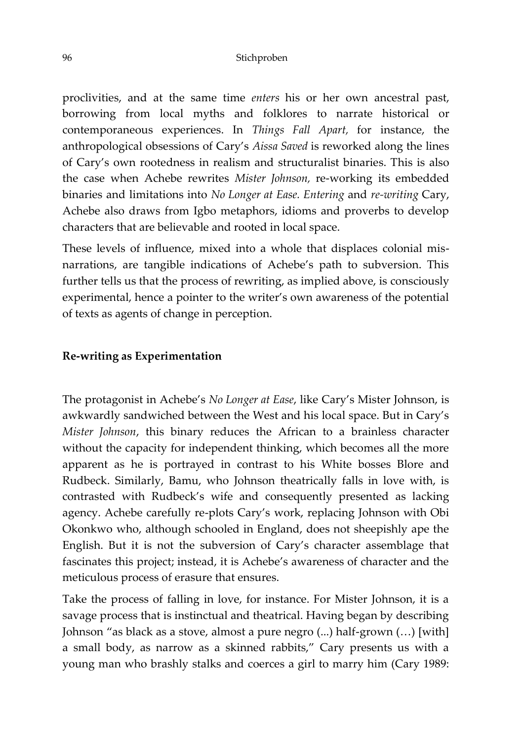proclivities, and at the same time *enters* his or her own ancestral past, borrowing from local myths and folklores to narrate historical or contemporaneous experiences. In *Things Fall Apart,* for instance, the anthropological obsessions of Cary's *Aissa Saved* is reworked along the lines of Cary's own rootedness in realism and structuralist binaries. This is also the case when Achebe rewrites *Mister Johnson,* re-working its embedded binaries and limitations into *No Longer at Ease. Entering* and *re-writing* Cary, Achebe also draws from Igbo metaphors, idioms and proverbs to develop characters that are believable and rooted in local space.

These levels of influence, mixed into a whole that displaces colonial misnarrations, are tangible indications of Achebe's path to subversion. This further tells us that the process of rewriting, as implied above, is consciously experimental, hence a pointer to the writer's own awareness of the potential of texts as agents of change in perception.

### **Re-writing as Experimentation**

The protagonist in Achebe's *No Longer at Ease*, like Cary's Mister Johnson, is awkwardly sandwiched between the West and his local space. But in Cary's *Mister Johnson*, this binary reduces the African to a brainless character without the capacity for independent thinking, which becomes all the more apparent as he is portrayed in contrast to his White bosses Blore and Rudbeck. Similarly, Bamu, who Johnson theatrically falls in love with, is contrasted with Rudbeck's wife and consequently presented as lacking agency. Achebe carefully re-plots Cary's work, replacing Johnson with Obi Okonkwo who, although schooled in England, does not sheepishly ape the English. But it is not the subversion of Cary's character assemblage that fascinates this project; instead, it is Achebe's awareness of character and the meticulous process of erasure that ensures.

Take the process of falling in love, for instance. For Mister Johnson, it is a savage process that is instinctual and theatrical. Having began by describing Johnson "as black as a stove, almost a pure negro (...) half-grown (…) [with] a small body, as narrow as a skinned rabbits," Cary presents us with a young man who brashly stalks and coerces a girl to marry him (Cary 1989: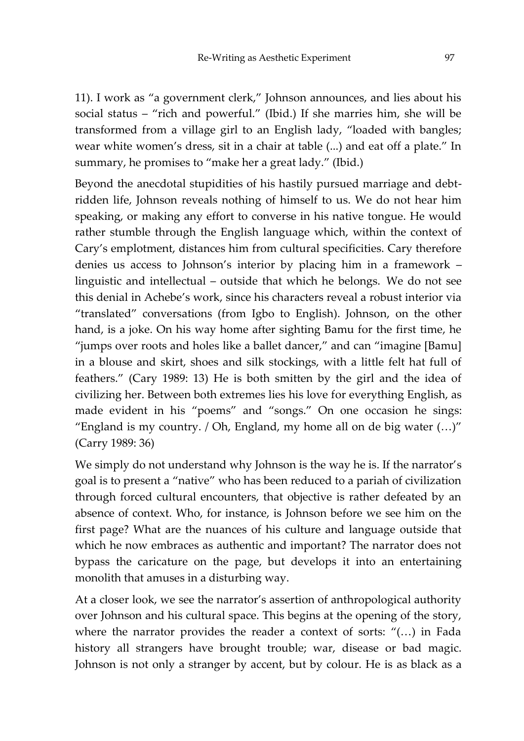11). I work as "a government clerk," Johnson announces, and lies about his social status – "rich and powerful." (Ibid.) If she marries him, she will be transformed from a village girl to an English lady, "loaded with bangles; wear white women's dress, sit in a chair at table (...) and eat off a plate." In summary, he promises to "make her a great lady." (Ibid.)

Beyond the anecdotal stupidities of his hastily pursued marriage and debtridden life, Johnson reveals nothing of himself to us. We do not hear him speaking, or making any effort to converse in his native tongue. He would rather stumble through the English language which, within the context of Cary's emplotment, distances him from cultural specificities. Cary therefore denies us access to Johnson's interior by placing him in a framework – linguistic and intellectual – outside that which he belongs. We do not see this denial in Achebe's work, since his characters reveal a robust interior via "translated" conversations (from Igbo to English). Johnson, on the other hand, is a joke. On his way home after sighting Bamu for the first time, he "jumps over roots and holes like a ballet dancer," and can "imagine [Bamu] in a blouse and skirt, shoes and silk stockings, with a little felt hat full of feathers." (Cary 1989: 13) He is both smitten by the girl and the idea of civilizing her. Between both extremes lies his love for everything English, as made evident in his "poems" and "songs." On one occasion he sings: "England is my country. / Oh, England, my home all on de big water (…)" (Carry 1989: 36)

We simply do not understand why Johnson is the way he is. If the narrator's goal is to present a "native" who has been reduced to a pariah of civilization through forced cultural encounters, that objective is rather defeated by an absence of context. Who, for instance, is Johnson before we see him on the first page? What are the nuances of his culture and language outside that which he now embraces as authentic and important? The narrator does not bypass the caricature on the page, but develops it into an entertaining monolith that amuses in a disturbing way.

At a closer look, we see the narrator's assertion of anthropological authority over Johnson and his cultural space. This begins at the opening of the story, where the narrator provides the reader a context of sorts: "(…) in Fada history all strangers have brought trouble; war, disease or bad magic. Johnson is not only a stranger by accent, but by colour. He is as black as a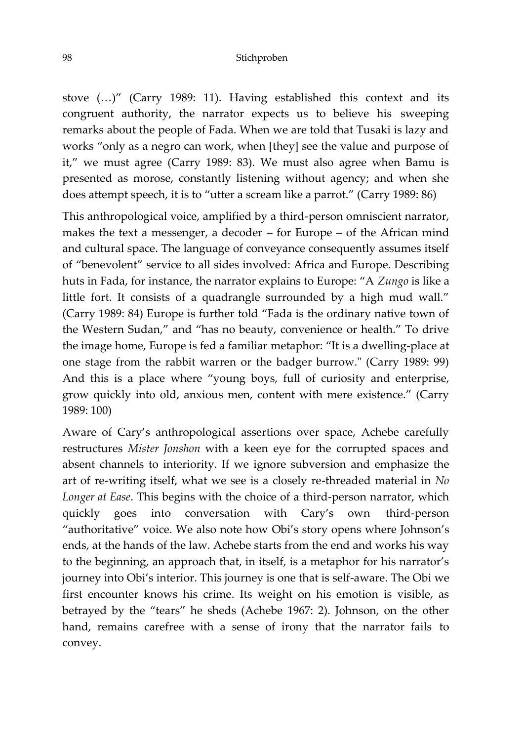#### 98 Stichproben

stove (…)" (Carry 1989: 11). Having established this context and its congruent authority, the narrator expects us to believe his sweeping remarks about the people of Fada. When we are told that Tusaki is lazy and works "only as a negro can work, when [they] see the value and purpose of it," we must agree (Carry 1989: 83). We must also agree when Bamu is presented as morose, constantly listening without agency; and when she does attempt speech, it is to "utter a scream like a parrot." (Carry 1989: 86)

This anthropological voice, amplified by a third-person omniscient narrator, makes the text a messenger, a decoder – for Europe – of the African mind and cultural space. The language of conveyance consequently assumes itself of "benevolent" service to all sides involved: Africa and Europe. Describing huts in Fada, for instance, the narrator explains to Europe: "A *Zungo* is like a little fort. It consists of a quadrangle surrounded by a high mud wall." (Carry 1989: 84) Europe is further told "Fada is the ordinary native town of the Western Sudan," and "has no beauty, convenience or health." To drive the image home, Europe is fed a familiar metaphor: "It is a dwelling-place at one stage from the rabbit warren or the badger burrow." (Carry 1989: 99) And this is a place where "young boys, full of curiosity and enterprise, grow quickly into old, anxious men, content with mere existence." (Carry 1989: 100)

Aware of Cary's anthropological assertions over space, Achebe carefully restructures *Mister Jonshon* with a keen eye for the corrupted spaces and absent channels to interiority. If we ignore subversion and emphasize the art of re-writing itself, what we see is a closely re-threaded material in *No Longer at Ease*. This begins with the choice of a third-person narrator, which quickly goes into conversation with Cary's own third-person "authoritative" voice. We also note how Obi's story opens where Johnson's ends, at the hands of the law. Achebe starts from the end and works his way to the beginning, an approach that, in itself, is a metaphor for his narrator's journey into Obi's interior. This journey is one that is self-aware. The Obi we first encounter knows his crime. Its weight on his emotion is visible, as betrayed by the "tears" he sheds (Achebe 1967: 2). Johnson, on the other hand, remains carefree with a sense of irony that the narrator fails to convey.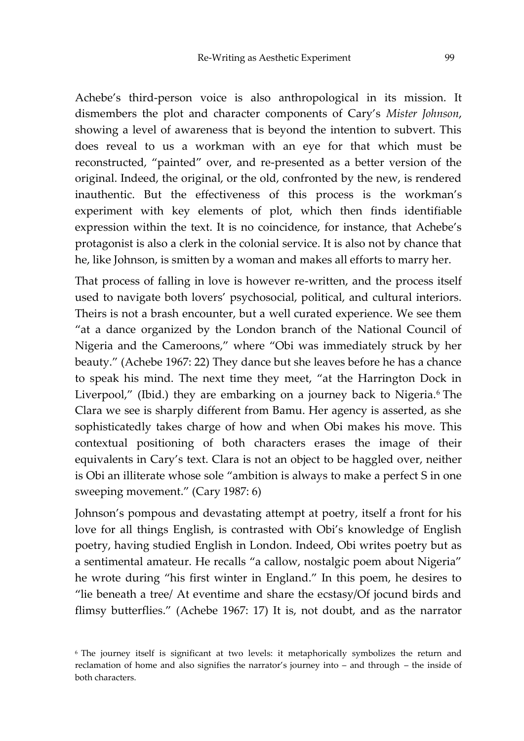Achebe's third-person voice is also anthropological in its mission. It dismembers the plot and character components of Cary's *Mister Johnson*, showing a level of awareness that is beyond the intention to subvert. This does reveal to us a workman with an eye for that which must be reconstructed, "painted" over, and re-presented as a better version of the original. Indeed, the original, or the old, confronted by the new, is rendered inauthentic. But the effectiveness of this process is the workman's experiment with key elements of plot, which then finds identifiable expression within the text. It is no coincidence, for instance, that Achebe's protagonist is also a clerk in the colonial service. It is also not by chance that he, like Johnson, is smitten by a woman and makes all efforts to marry her.

That process of falling in love is however re-written, and the process itself used to navigate both lovers' psychosocial, political, and cultural interiors. Theirs is not a brash encounter, but a well curated experience. We see them "at a dance organized by the London branch of the National Council of Nigeria and the Cameroons," where "Obi was immediately struck by her beauty." (Achebe 1967: 22) They dance but she leaves before he has a chance to speak his mind. The next time they meet, "at the Harrington Dock in Liverpool," (Ibid.) they are embarking on a journey back to Nigeria.<sup>6</sup> The Clara we see is sharply different from Bamu. Her agency is asserted, as she sophisticatedly takes charge of how and when Obi makes his move. This contextual positioning of both characters erases the image of their equivalents in Cary's text. Clara is not an object to be haggled over, neither is Obi an illiterate whose sole "ambition is always to make a perfect S in one sweeping movement." (Cary 1987: 6)

Johnson's pompous and devastating attempt at poetry, itself a front for his love for all things English, is contrasted with Obi's knowledge of English poetry, having studied English in London. Indeed, Obi writes poetry but as a sentimental amateur. He recalls "a callow, nostalgic poem about Nigeria" he wrote during "his first winter in England." In this poem, he desires to "lie beneath a tree/ At eventime and share the ecstasy/Of jocund birds and flimsy butterflies." (Achebe 1967: 17) It is, not doubt, and as the narrator

<sup>&</sup>lt;sup>6</sup> The journey itself is significant at two levels: it metaphorically symbolizes the return and reclamation of home and also signifies the narrator's journey into – and through – the inside of both characters.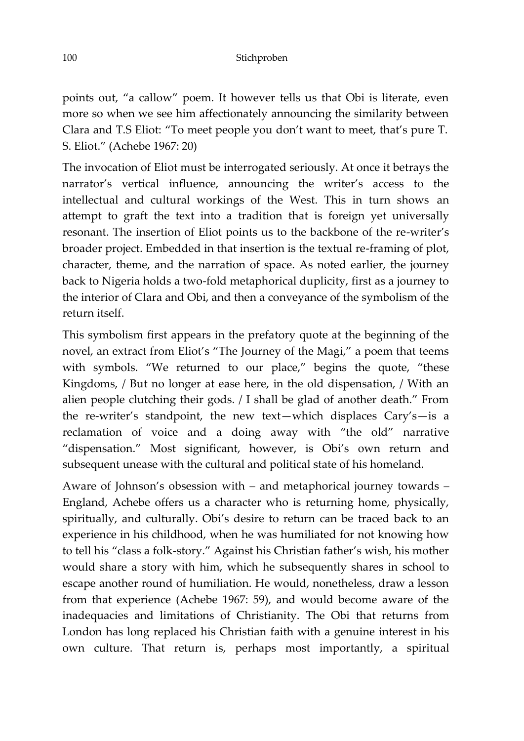points out, "a callow" poem. It however tells us that Obi is literate, even more so when we see him affectionately announcing the similarity between Clara and T.S Eliot: "To meet people you don't want to meet, that's pure T. S. Eliot." (Achebe 1967: 20)

The invocation of Eliot must be interrogated seriously. At once it betrays the narrator's vertical influence, announcing the writer's access to the intellectual and cultural workings of the West. This in turn shows an attempt to graft the text into a tradition that is foreign yet universally resonant. The insertion of Eliot points us to the backbone of the re-writer's broader project. Embedded in that insertion is the textual re-framing of plot, character, theme, and the narration of space. As noted earlier, the journey back to Nigeria holds a two-fold metaphorical duplicity, first as a journey to the interior of Clara and Obi, and then a conveyance of the symbolism of the return itself.

This symbolism first appears in the prefatory quote at the beginning of the novel, an extract from Eliot's "The Journey of the Magi," a poem that teems with symbols. "We returned to our place," begins the quote, "these Kingdoms, / But no longer at ease here, in the old dispensation, / With an alien people clutching their gods. / I shall be glad of another death." From the re-writer's standpoint, the new text—which displaces Cary's—is a reclamation of voice and a doing away with "the old" narrative "dispensation." Most significant, however, is Obi's own return and subsequent unease with the cultural and political state of his homeland.

Aware of Johnson's obsession with – and metaphorical journey towards – England, Achebe offers us a character who is returning home, physically, spiritually, and culturally. Obi's desire to return can be traced back to an experience in his childhood, when he was humiliated for not knowing how to tell his "class a folk-story." Against his Christian father's wish, his mother would share a story with him, which he subsequently shares in school to escape another round of humiliation. He would, nonetheless, draw a lesson from that experience (Achebe 1967: 59), and would become aware of the inadequacies and limitations of Christianity. The Obi that returns from London has long replaced his Christian faith with a genuine interest in his own culture. That return is, perhaps most importantly, a spiritual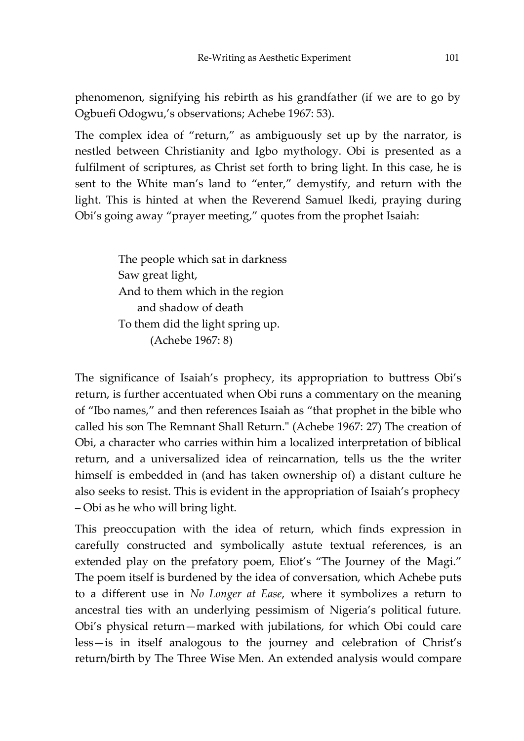phenomenon, signifying his rebirth as his grandfather (if we are to go by Ogbuefi Odogwu,'s observations; Achebe 1967: 53).

The complex idea of "return," as ambiguously set up by the narrator, is nestled between Christianity and Igbo mythology. Obi is presented as a fulfilment of scriptures, as Christ set forth to bring light. In this case, he is sent to the White man's land to "enter," demystify, and return with the light. This is hinted at when the Reverend Samuel Ikedi, praying during Obi's going away "prayer meeting," quotes from the prophet Isaiah:

> The people which sat in darkness Saw great light, And to them which in the region and shadow of death To them did the light spring up. (Achebe 1967: 8)

The significance of Isaiah's prophecy, its appropriation to buttress Obi's return, is further accentuated when Obi runs a commentary on the meaning of "Ibo names," and then references Isaiah as "that prophet in the bible who called his son The Remnant Shall Return." (Achebe 1967: 27) The creation of Obi, a character who carries within him a localized interpretation of biblical return, and a universalized idea of reincarnation, tells us the the writer himself is embedded in (and has taken ownership of) a distant culture he also seeks to resist. This is evident in the appropriation of Isaiah's prophecy – Obi as he who will bring light.

This preoccupation with the idea of return, which finds expression in carefully constructed and symbolically astute textual references, is an extended play on the prefatory poem, Eliot's "The Journey of the Magi." The poem itself is burdened by the idea of conversation, which Achebe puts to a different use in *No Longer at Ease*, where it symbolizes a return to ancestral ties with an underlying pessimism of Nigeria's political future. Obi's physical return—marked with jubilations, for which Obi could care less—is in itself analogous to the journey and celebration of Christ's return/birth by The Three Wise Men. An extended analysis would compare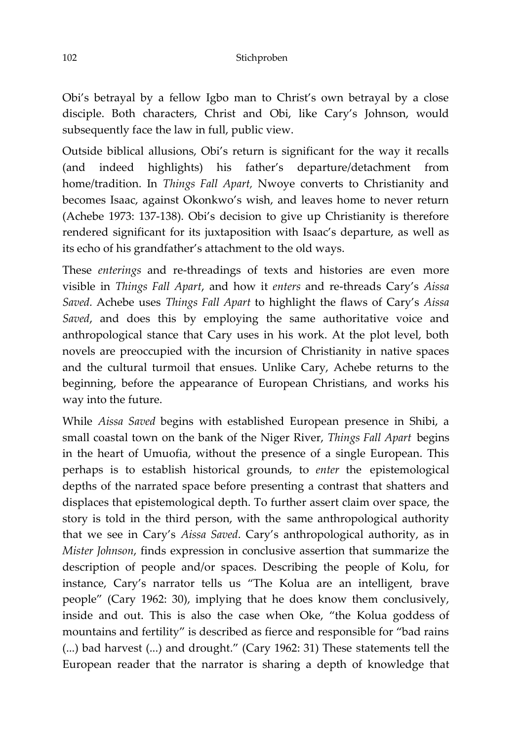Obi's betrayal by a fellow Igbo man to Christ's own betrayal by a close disciple. Both characters, Christ and Obi, like Cary's Johnson, would subsequently face the law in full, public view.

Outside biblical allusions, Obi's return is significant for the way it recalls (and indeed highlights) his father's departure/detachment from home/tradition. In *Things Fall Apart,* Nwoye converts to Christianity and becomes Isaac, against Okonkwo's wish, and leaves home to never return (Achebe 1973: 137-138). Obi's decision to give up Christianity is therefore rendered significant for its juxtaposition with Isaac's departure, as well as its echo of his grandfather's attachment to the old ways.

These *enterings* and re-threadings of texts and histories are even more visible in *Things Fall Apart*, and how it *enters* and re-threads Cary's *Aissa Saved.* Achebe uses *Things Fall Apart* to highlight the flaws of Cary's *Aissa Saved*, and does this by employing the same authoritative voice and anthropological stance that Cary uses in his work. At the plot level, both novels are preoccupied with the incursion of Christianity in native spaces and the cultural turmoil that ensues. Unlike Cary, Achebe returns to the beginning, before the appearance of European Christians, and works his way into the future.

While *Aissa Saved* begins with established European presence in Shibi, a small coastal town on the bank of the Niger River, *Things Fall Apart* begins in the heart of Umuofia, without the presence of a single European. This perhaps is to establish historical grounds, to *enter* the epistemological depths of the narrated space before presenting a contrast that shatters and displaces that epistemological depth. To further assert claim over space, the story is told in the third person, with the same anthropological authority that we see in Cary's *Aissa Saved*. Cary's anthropological authority, as in *Mister Johnson*, finds expression in conclusive assertion that summarize the description of people and/or spaces. Describing the people of Kolu, for instance, Cary's narrator tells us "The Kolua are an intelligent, brave people" (Cary 1962: 30), implying that he does know them conclusively, inside and out. This is also the case when Oke, "the Kolua goddess of mountains and fertility" is described as fierce and responsible for "bad rains (...) bad harvest (...) and drought." (Cary 1962: 31) These statements tell the European reader that the narrator is sharing a depth of knowledge that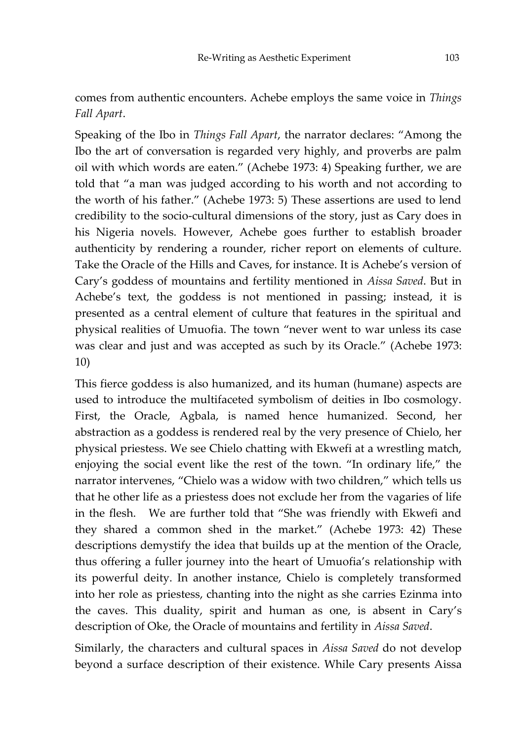# comes from authentic encounters. Achebe employs the same voice in *Things Fall Apart*.

Speaking of the Ibo in *Things Fall Apart*, the narrator declares: "Among the Ibo the art of conversation is regarded very highly, and proverbs are palm oil with which words are eaten." (Achebe 1973: 4) Speaking further, we are told that "a man was judged according to his worth and not according to the worth of his father." (Achebe 1973: 5) These assertions are used to lend credibility to the socio-cultural dimensions of the story, just as Cary does in his Nigeria novels. However, Achebe goes further to establish broader authenticity by rendering a rounder, richer report on elements of culture. Take the Oracle of the Hills and Caves, for instance. It is Achebe's version of Cary's goddess of mountains and fertility mentioned in *Aissa Saved*. But in Achebe's text, the goddess is not mentioned in passing; instead, it is presented as a central element of culture that features in the spiritual and physical realities of Umuofia. The town "never went to war unless its case was clear and just and was accepted as such by its Oracle." (Achebe 1973: 10)

This fierce goddess is also humanized, and its human (humane) aspects are used to introduce the multifaceted symbolism of deities in Ibo cosmology. First, the Oracle, Agbala, is named hence humanized. Second, her abstraction as a goddess is rendered real by the very presence of Chielo, her physical priestess. We see Chielo chatting with Ekwefi at a wrestling match, enjoying the social event like the rest of the town. "In ordinary life," the narrator intervenes, "Chielo was a widow with two children," which tells us that he other life as a priestess does not exclude her from the vagaries of life in the flesh. We are further told that "She was friendly with Ekwefi and they shared a common shed in the market." (Achebe 1973: 42) These descriptions demystify the idea that builds up at the mention of the Oracle, thus offering a fuller journey into the heart of Umuofia's relationship with its powerful deity. In another instance, Chielo is completely transformed into her role as priestess, chanting into the night as she carries Ezinma into the caves. This duality, spirit and human as one, is absent in Cary's description of Oke, the Oracle of mountains and fertility in *Aissa Saved*.

Similarly, the characters and cultural spaces in *Aissa Saved* do not develop beyond a surface description of their existence. While Cary presents Aissa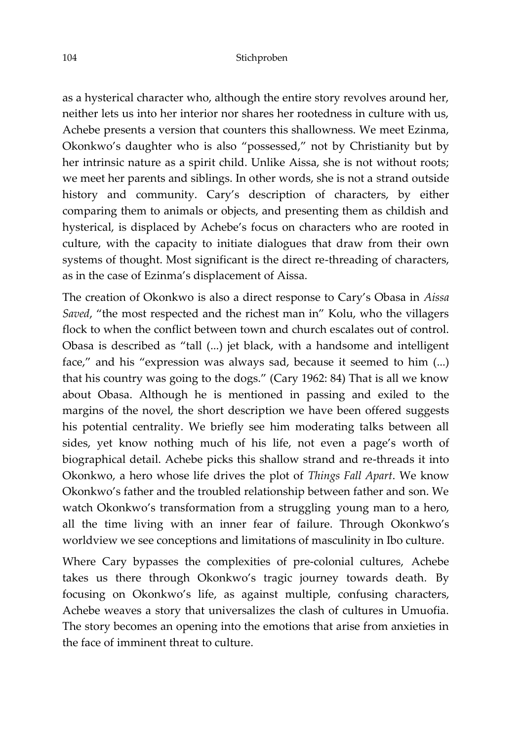as a hysterical character who, although the entire story revolves around her, neither lets us into her interior nor shares her rootedness in culture with us, Achebe presents a version that counters this shallowness. We meet Ezinma, Okonkwo's daughter who is also "possessed," not by Christianity but by her intrinsic nature as a spirit child. Unlike Aissa, she is not without roots; we meet her parents and siblings. In other words, she is not a strand outside history and community. Cary's description of characters, by either comparing them to animals or objects, and presenting them as childish and hysterical, is displaced by Achebe's focus on characters who are rooted in culture, with the capacity to initiate dialogues that draw from their own systems of thought. Most significant is the direct re-threading of characters, as in the case of Ezinma's displacement of Aissa.

The creation of Okonkwo is also a direct response to Cary's Obasa in *Aissa Saved*, "the most respected and the richest man in" Kolu, who the villagers flock to when the conflict between town and church escalates out of control. Obasa is described as "tall (...) jet black, with a handsome and intelligent face," and his "expression was always sad, because it seemed to him (...) that his country was going to the dogs." (Cary 1962: 84) That is all we know about Obasa. Although he is mentioned in passing and exiled to the margins of the novel, the short description we have been offered suggests his potential centrality. We briefly see him moderating talks between all sides, yet know nothing much of his life, not even a page's worth of biographical detail. Achebe picks this shallow strand and re-threads it into Okonkwo, a hero whose life drives the plot of *Things Fall Apart*. We know Okonkwo's father and the troubled relationship between father and son. We watch Okonkwo's transformation from a struggling young man to a hero, all the time living with an inner fear of failure. Through Okonkwo's worldview we see conceptions and limitations of masculinity in Ibo culture.

Where Cary bypasses the complexities of pre-colonial cultures, Achebe takes us there through Okonkwo's tragic journey towards death. By focusing on Okonkwo's life, as against multiple, confusing characters, Achebe weaves a story that universalizes the clash of cultures in Umuofia. The story becomes an opening into the emotions that arise from anxieties in the face of imminent threat to culture.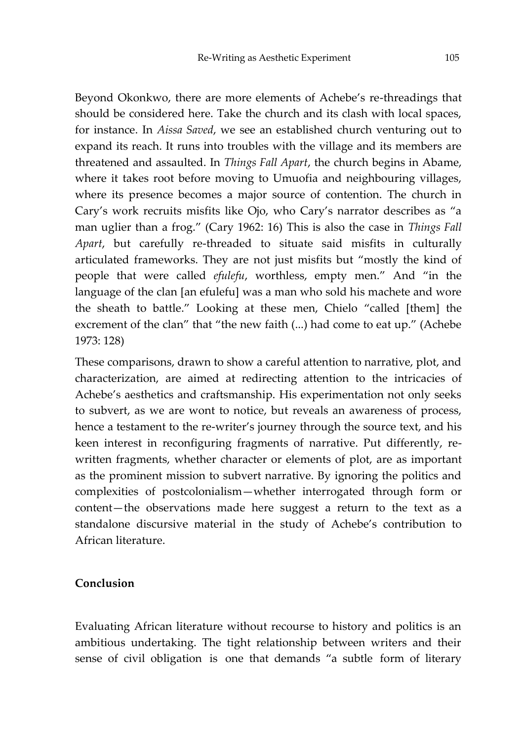Beyond Okonkwo, there are more elements of Achebe's re-threadings that should be considered here. Take the church and its clash with local spaces, for instance. In *Aissa Saved*, we see an established church venturing out to expand its reach. It runs into troubles with the village and its members are threatened and assaulted. In *Things Fall Apart*, the church begins in Abame, where it takes root before moving to Umuofia and neighbouring villages, where its presence becomes a major source of contention. The church in Cary's work recruits misfits like Ojo, who Cary's narrator describes as "a man uglier than a frog." (Cary 1962: 16) This is also the case in *Things Fall Apart*, but carefully re-threaded to situate said misfits in culturally articulated frameworks. They are not just misfits but "mostly the kind of people that were called *efulefu*, worthless, empty men." And "in the language of the clan [an efulefu] was a man who sold his machete and wore the sheath to battle." Looking at these men, Chielo "called [them] the excrement of the clan" that "the new faith (...) had come to eat up." (Achebe 1973: 128)

These comparisons, drawn to show a careful attention to narrative, plot, and characterization, are aimed at redirecting attention to the intricacies of Achebe's aesthetics and craftsmanship. His experimentation not only seeks to subvert, as we are wont to notice, but reveals an awareness of process, hence a testament to the re-writer's journey through the source text, and his keen interest in reconfiguring fragments of narrative. Put differently, rewritten fragments, whether character or elements of plot, are as important as the prominent mission to subvert narrative. By ignoring the politics and complexities of postcolonialism—whether interrogated through form or content—the observations made here suggest a return to the text as a standalone discursive material in the study of Achebe's contribution to African literature.

### **Conclusion**

Evaluating African literature without recourse to history and politics is an ambitious undertaking. The tight relationship between writers and their sense of civil obligation is one that demands "a subtle form of literary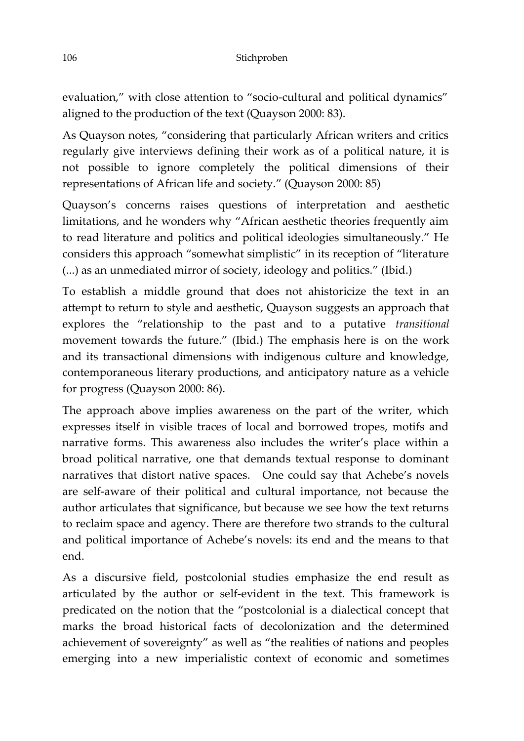evaluation," with close attention to "socio-cultural and political dynamics" aligned to the production of the text (Quayson 2000: 83).

As Quayson notes, "considering that particularly African writers and critics regularly give interviews defining their work as of a political nature, it is not possible to ignore completely the political dimensions of their representations of African life and society." (Quayson 2000: 85)

Quayson's concerns raises questions of interpretation and aesthetic limitations, and he wonders why "African aesthetic theories frequently aim to read literature and politics and political ideologies simultaneously." He considers this approach "somewhat simplistic" in its reception of "literature (...) as an unmediated mirror of society, ideology and politics." (Ibid.)

To establish a middle ground that does not ahistoricize the text in an attempt to return to style and aesthetic, Quayson suggests an approach that explores the "relationship to the past and to a putative *transitional* movement towards the future." (Ibid.) The emphasis here is on the work and its transactional dimensions with indigenous culture and knowledge, contemporaneous literary productions, and anticipatory nature as a vehicle for progress (Quayson 2000: 86).

The approach above implies awareness on the part of the writer, which expresses itself in visible traces of local and borrowed tropes, motifs and narrative forms. This awareness also includes the writer's place within a broad political narrative, one that demands textual response to dominant narratives that distort native spaces. One could say that Achebe's novels are self-aware of their political and cultural importance, not because the author articulates that significance, but because we see how the text returns to reclaim space and agency. There are therefore two strands to the cultural and political importance of Achebe's novels: its end and the means to that end.

As a discursive field, postcolonial studies emphasize the end result as articulated by the author or self-evident in the text. This framework is predicated on the notion that the "postcolonial is a dialectical concept that marks the broad historical facts of decolonization and the determined achievement of sovereignty" as well as "the realities of nations and peoples emerging into a new imperialistic context of economic and sometimes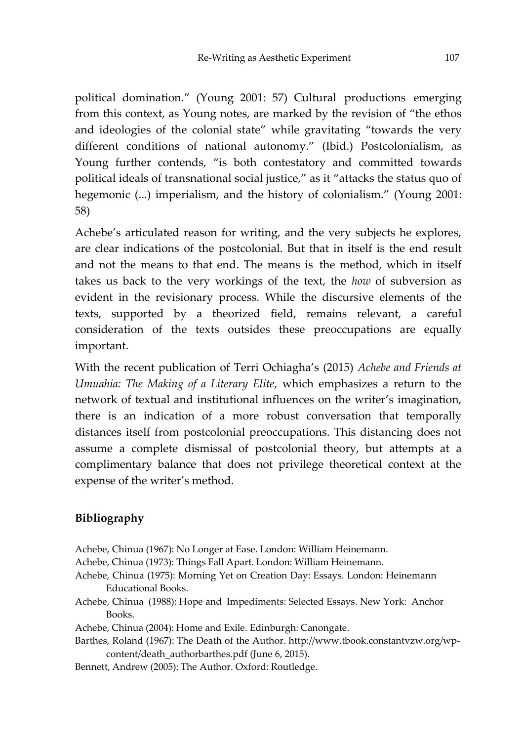political domination." (Young 2001: 57) Cultural productions emerging from this context, as Young notes, are marked by the revision of "the ethos and ideologies of the colonial state" while gravitating "towards the very different conditions of national autonomy." (Ibid.) Postcolonialism, as Young further contends, "is both contestatory and committed towards political ideals of transnational social justice," as it "attacks the status quo of hegemonic (...) imperialism, and the history of colonialism." (Young 2001: 58)

Achebe's articulated reason for writing, and the very subjects he explores, are clear indications of the postcolonial. But that in itself is the end result and not the means to that end. The means is the method, which in itself takes us back to the very workings of the text, the *how* of subversion as evident in the revisionary process. While the discursive elements of the texts, supported by a theorized field, remains relevant, a careful consideration of the texts outsides these preoccupations are equally important.

With the recent publication of Terri Ochiagha's (2015) *Achebe and Friends at Umuahia: The Making of a Literary Elite*, which emphasizes a return to the network of textual and institutional influences on the writer's imagination, there is an indication of a more robust conversation that temporally distances itself from postcolonial preoccupations. This distancing does not assume a complete dismissal of postcolonial theory, but attempts at a complimentary balance that does not privilege theoretical context at the expense of the writer's method.

# **Bibliography**

- Achebe, Chinua (1967): No Longer at Ease. London: William Heinemann.
- Achebe, Chinua (1973): Things Fall Apart. London: William Heinemann.
- Achebe, Chinua (1975): Morning Yet on Creation Day: Essays. London: Heinemann Educational Books.
- Achebe, Chinua (1988): Hope and Impediments: Selected Essays. New York: Anchor Books.
- Achebe, Chinua (2004): Home and Exile. Edinburgh: Canongate.
- Barthes, Roland (1967): The Death of the Author. [http://www.tbook.constantvzw.org/wp](http://www.tbook.constantvzw.org/wp-)content/death\_authorbarthes.pdf (June 6, 2015).
- Bennett, Andrew (2005): The Author. Oxford: Routledge.